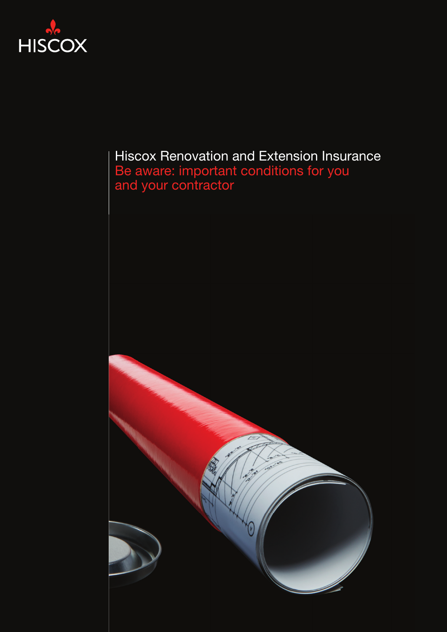

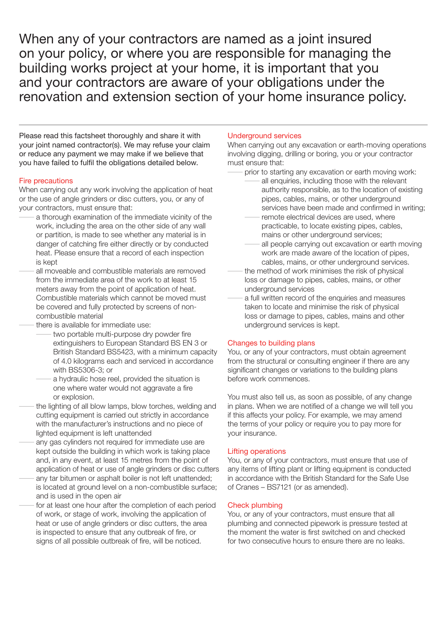When any of your contractors are named as a joint insured on your policy, or where you are responsible for managing the building works project at your home, it is important that you and your contractors are aware of your obligations under the renovation and extension section of your home insurance policy.

Please read this factsheet thoroughly and share it with your joint named contractor(s). We may refuse your claim or reduce any payment we may make if we believe that you have failed to fulfil the obligations detailed below.

### Fire precautions

When carrying out any work involving the application of heat or the use of angle grinders or disc cutters, you, or any of your contractors, must ensure that:

- a thorough examination of the immediate vicinity of the work, including the area on the other side of any wall or partition, is made to see whether any material is in danger of catching fire either directly or by conducted heat. Please ensure that a record of each inspection is kept
- all moveable and combustible materials are removed from the immediate area of the work to at least 15 meters away from the point of application of heat. Combustible materials which cannot be moved must be covered and fully protected by screens of noncombustible material
- there is available for immediate use:
	- two portable multi-purpose dry powder fire extinguishers to European Standard BS EN 3 or British Standard BS5423, with a minimum capacity of 4.0 kilograms each and serviced in accordance with BS5306-3; or
	- a hydraulic hose reel, provided the situation is one where water would not aggravate a fire or explosion.
- the lighting of all blow lamps, blow torches, welding and cutting equipment is carried out strictly in accordance with the manufacturer's instructions and no piece of lighted equipment is left unattended
- any gas cylinders not required for immediate use are kept outside the building in which work is taking place and, in any event, at least 15 metres from the point of application of heat or use of angle grinders or disc cutters
- any tar bitumen or asphalt boiler is not left unattended; is located at ground level on a non-combustible surface; and is used in the open air
- for at least one hour after the completion of each period of work, or stage of work, involving the application of heat or use of angle grinders or disc cutters, the area is inspected to ensure that any outbreak of fire, or signs of all possible outbreak of fire, will be noticed.

### Underground services

When carrying out any excavation or earth-moving operations involving digging, drilling or boring, you or your contractor must ensure that:

prior to starting any excavation or earth moving work:

- all enquiries, including those with the relevant authority responsible, as to the location of existing pipes, cables, mains, or other underground services have been made and confirmed in writing;
- remote electrical devices are used, where practicable, to locate existing pipes, cables, mains or other underground services;
- all people carrying out excavation or earth moving work are made aware of the location of pipes, cables, mains, or other underground services.
- the method of work minimises the risk of physical loss or damage to pipes, cables, mains, or other underground services
- a full written record of the enquiries and measures taken to locate and minimise the risk of physical loss or damage to pipes, cables, mains and other underground services is kept.

## Changes to building plans

You, or any of your contractors, must obtain agreement from the structural or consulting engineer if there are any significant changes or variations to the building plans before work commences.

You must also tell us, as soon as possible, of any change in plans. When we are notified of a change we will tell you if this affects your policy. For example, we may amend the terms of your policy or require you to pay more for your insurance.

## Lifting operations

You, or any of your contractors, must ensure that use of any items of lifting plant or lifting equipment is conducted in accordance with the British Standard for the Safe Use of Cranes – BS7121 (or as amended).

### Check plumbing

You, or any of your contractors, must ensure that all plumbing and connected pipework is pressure tested at the moment the water is first switched on and checked for two consecutive hours to ensure there are no leaks.